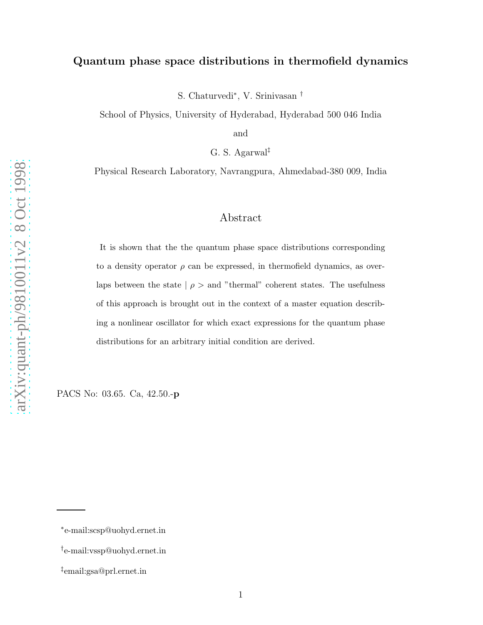## Quantum phase space distributions in thermofield dynamics

S. Chaturvedi ∗ , V. Srinivasan †

School of Physics, University of Hyderabad, Hyderabad 500 046 India

and

G. S. Agarwal ‡

Physical Research Laboratory, Navrangpura, Ahmedabad-380 009, India

# Abstract

It is shown that the the quantum phase space distributions corresponding to a density operator  $\rho$  can be expressed, in thermofield dynamics, as overlaps between the state  $\mid \rho >$  and "thermal" coherent states. The usefulness of this approach is brought out in the context of a master equation describing a nonlinear oscillator for which exact expressions for the quantum phase distributions for an arbitrary initial condition are derived.

PACS No: 03.65. Ca, 42.50.- p

<sup>∗</sup> e-mail:scsp@uohyd.ernet.in

<sup>†</sup> e-mail:vssp@uohyd.ernet.in

<sup>‡</sup> email:gsa@prl.ernet.in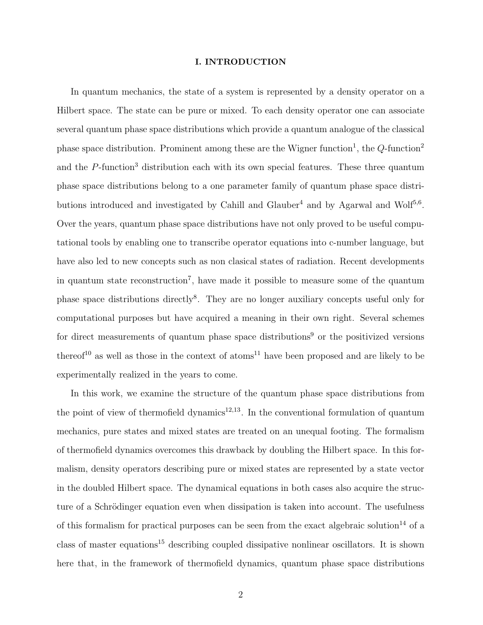### I. INTRODUCTION

In quantum mechanics, the state of a system is represented by a density operator on a Hilbert space. The state can be pure or mixed. To each density operator one can associate several quantum phase space distributions which provide a quantum analogue of the classical phase space distribution. Prominent among these are the Wigner function<sup>1</sup>, the  $Q$ -function<sup>2</sup> and the  $P$ -function<sup>3</sup> distribution each with its own special features. These three quantum phase space distributions belong to a one parameter family of quantum phase space distributions introduced and investigated by Cahill and Glauber<sup>4</sup> and by Agarwal and Wolf<sup>5,6</sup>. Over the years, quantum phase space distributions have not only proved to be useful computational tools by enabling one to transcribe operator equations into c-number language, but have also led to new concepts such as non clasical states of radiation. Recent developments in quantum state reconstruction<sup>7</sup>, have made it possible to measure some of the quantum phase space distributions directly<sup>8</sup>. They are no longer auxiliary concepts useful only for computational purposes but have acquired a meaning in their own right. Several schemes for direct measurements of quantum phase space distributions<sup>9</sup> or the positivized versions thereof<sup>10</sup> as well as those in the context of atoms<sup>11</sup> have been proposed and are likely to be experimentally realized in the years to come.

In this work, we examine the structure of the quantum phase space distributions from the point of view of thermofield dynamics<sup>12,13</sup>. In the conventional formulation of quantum mechanics, pure states and mixed states are treated on an unequal footing. The formalism of thermofield dynamics overcomes this drawback by doubling the Hilbert space. In this formalism, density operators describing pure or mixed states are represented by a state vector in the doubled Hilbert space. The dynamical equations in both cases also acquire the structure of a Schrödinger equation even when dissipation is taken into account. The usefulness of this formalism for practical purposes can be seen from the exact algebraic solution<sup>14</sup> of a class of master equations<sup>15</sup> describing coupled dissipative nonlinear oscillators. It is shown here that, in the framework of thermofield dynamics, quantum phase space distributions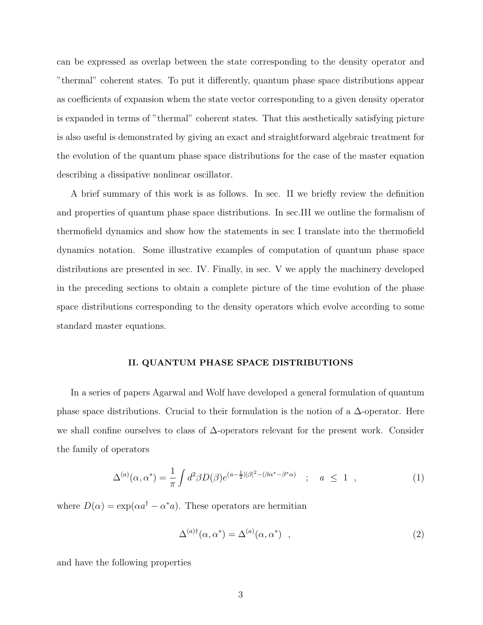can be expressed as overlap between the state corresponding to the density operator and "thermal" coherent states. To put it differently, quantum phase space distributions appear as coefficients of expansion whem the state vector corresponding to a given density operator is expanded in terms of "thermal" coherent states. That this aesthetically satisfying picture is also useful is demonstrated by giving an exact and straightforward algebraic treatment for the evolution of the quantum phase space distributions for the case of the master equation describing a dissipative nonlinear oscillator.

A brief summary of this work is as follows. In sec. II we briefly review the definition and properties of quantum phase space distributions. In sec.III we outline the formalism of thermofield dynamics and show how the statements in sec I translate into the thermofield dynamics notation. Some illustrative examples of computation of quantum phase space distributions are presented in sec. IV. Finally, in sec. V we apply the machinery developed in the preceding sections to obtain a complete picture of the time evolution of the phase space distributions corresponding to the density operators which evolve according to some standard master equations.

### II. QUANTUM PHASE SPACE DISTRIBUTIONS

In a series of papers Agarwal and Wolf have developed a general formulation of quantum phase space distributions. Crucial to their formulation is the notion of a  $\Delta$ -operator. Here we shall confine ourselves to class of ∆-operators relevant for the present work. Consider the family of operators

$$
\Delta^{(a)}(\alpha, \alpha^*) = \frac{1}{\pi} \int d^2 \beta D(\beta) e^{(a - \frac{1}{2})|\beta|^2 - (\beta \alpha^* - \beta^* \alpha)} \quad ; \quad a \le 1 \quad , \tag{1}
$$

where  $D(\alpha) = \exp(\alpha a^{\dagger} - \alpha^* a)$ . These operators are hermitian

$$
\Delta^{(a)\dagger}(\alpha, \alpha^*) = \Delta^{(a)}(\alpha, \alpha^*) \quad , \tag{2}
$$

and have the following properties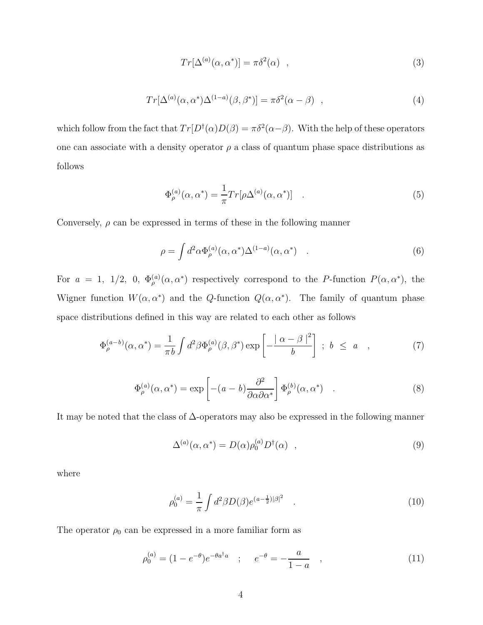$$
Tr[\Delta^{(a)}(\alpha, \alpha^*)] = \pi \delta^2(\alpha) \quad , \tag{3}
$$

$$
Tr[\Delta^{(a)}(\alpha, \alpha^*)\Delta^{(1-a)}(\beta, \beta^*)] = \pi \delta^2(\alpha - \beta) , \qquad (4)
$$

which follow from the fact that  $Tr[D^{\dagger}(\alpha)D(\beta) = \pi \delta^2(\alpha - \beta)$ . With the help of these operators one can associate with a density operator  $\rho$  a class of quantum phase space distributions as follows

$$
\Phi_{\rho}^{(a)}(\alpha, \alpha^*) = \frac{1}{\pi} Tr[\rho \Delta^{(a)}(\alpha, \alpha^*)] \quad . \tag{5}
$$

Conversely,  $\rho$  can be expressed in terms of these in the following manner

$$
\rho = \int d^2 \alpha \Phi_{\rho}^{(a)}(\alpha, \alpha^*) \Delta^{(1-a)}(\alpha, \alpha^*) \quad . \tag{6}
$$

For  $a = 1, 1/2, 0, \Phi_{\rho}^{(a)}(\alpha, \alpha^*)$  respectively correspond to the P-function  $P(\alpha, \alpha^*)$ , the Wigner function  $W(\alpha, \alpha^*)$  and the Q-function  $Q(\alpha, \alpha^*)$ . The family of quantum phase space distributions defined in this way are related to each other as follows

$$
\Phi_{\rho}^{(a-b)}(\alpha, \alpha^*) = \frac{1}{\pi b} \int d^2 \beta \Phi_{\rho}^{(a)}(\beta, \beta^*) \exp\left[-\frac{|\alpha - \beta|^2}{b}\right] ; b \le a \quad , \tag{7}
$$

$$
\Phi_{\rho}^{(a)}(\alpha, \alpha^*) = \exp\left[ -(a-b)\frac{\partial^2}{\partial \alpha \partial \alpha^*} \right] \Phi_{\rho}^{(b)}(\alpha, \alpha^*) \quad . \tag{8}
$$

It may be noted that the class of ∆-operators may also be expressed in the following manner

$$
\Delta^{(a)}(\alpha, \alpha^*) = D(\alpha)\rho_0^{(a)}D^{\dagger}(\alpha) \quad , \tag{9}
$$

where

$$
\rho_0^{(a)} = \frac{1}{\pi} \int d^2 \beta D(\beta) e^{(a - \frac{1}{2})|\beta|^2} . \tag{10}
$$

The operator  $\rho_0$  can be expressed in a more familiar form as

$$
\rho_0^{(a)} = (1 - e^{-\theta})e^{-\theta a^{\dagger} a} \quad ; \quad e^{-\theta} = -\frac{a}{1 - a} \quad , \tag{11}
$$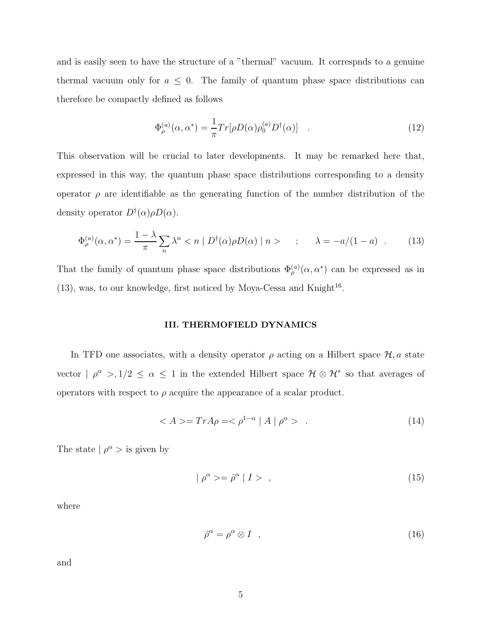and is easily seen to have the structure of a "thermal" vacuum. It correspnds to a genuine thermal vacuum only for  $a \leq 0$ . The family of quantum phase space distributions can therefore be compactly defined as follows

$$
\Phi_{\rho}^{(a)}(\alpha, \alpha^*) = \frac{1}{\pi} Tr[\rho D(\alpha) \rho_0^{(a)} D^{\dagger}(\alpha)] \quad . \tag{12}
$$

This observation will be crucial to later developments. It may be remarked here that, expressed in this way, the quantum phase space distributions corresponding to a density operator  $\rho$  are identifiable as the generating function of the number distribution of the density operator  $D^{\dagger}(\alpha)\rho D(\alpha)$ .

$$
\Phi_{\rho}^{(a)}(\alpha, \alpha^*) = \frac{1 - \lambda}{\pi} \sum_{n} \lambda^n < n \mid D^{\dagger}(\alpha) \rho D(\alpha) \mid n > \quad ; \quad \lambda = -a/(1 - a) \quad . \tag{13}
$$

That the family of quantum phase space distributions  $\Phi_{\rho}^{(a)}(\alpha, \alpha^*)$  can be expressed as in  $(13)$ , was, to our knowledge, first noticed by Moya-Cessa and Knight<sup>16</sup>.

### III. THERMOFIELD DYNAMICS

In TFD one associates, with a density operator  $\rho$  acting on a Hilbert space  $\mathcal{H}, a$  state vector  $| \rho^{\alpha} > 1/2 \leq \alpha \leq 1$  in the extended Hilbert space  $\mathcal{H} \otimes \mathcal{H}^*$  so that averages of operators with respect to  $\rho$  acquire the appearance of a scalar product.

$$
\langle A \rangle = Tr A \rho = \langle \rho^{1-\alpha} | A | \rho^{\alpha} \rangle \tag{14}
$$

The state  $| \rho^{\alpha} >$  is given by

$$
|\rho^{\alpha} \rangle = \hat{\rho}^{\alpha} | I \rangle , \qquad (15)
$$

where

$$
\hat{\rho}^{\alpha} = \rho^{\alpha} \otimes I \quad , \tag{16}
$$

and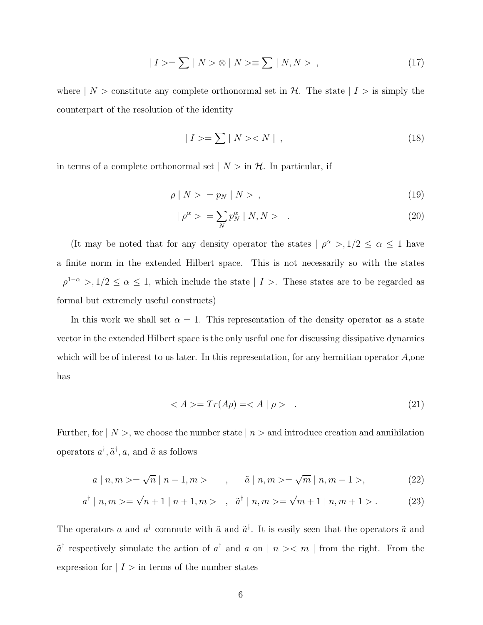$$
| I \rangle = \sum | N \rangle \otimes | N \rangle \equiv \sum | N, N \rangle , \qquad (17)
$$

where  $| N \rangle$  constitute any complete orthonormal set in H. The state  $| I \rangle$  is simply the counterpart of the resolution of the identity

$$
|I\rangle = \sum |N\rangle < N| \tag{18}
$$

in terms of a complete orthonormal set  $|N\rangle$  in  $\mathcal{H}$ . In particular, if

$$
\rho \mid N \rangle = p_N \mid N \rangle \tag{19}
$$

$$
|\rho^{\alpha}\rangle = \sum_{N} p_N^{\alpha} |N, N\rangle \qquad . \tag{20}
$$

(It may be noted that for any density operator the states  $| \rho^{\alpha} >, 1/2 \leq \alpha \leq 1$  have a finite norm in the extended Hilbert space. This is not necessarily so with the states  $| \rho^{1-\alpha} > 1/2 \le \alpha \le 1$ , which include the state  $| I > 1$ . These states are to be regarded as formal but extremely useful constructs)

In this work we shall set  $\alpha = 1$ . This representation of the density operator as a state vector in the extended Hilbert space is the only useful one for discussing dissipative dynamics which will be of interest to us later. In this representation, for any hermitian operator  $A$ , one has

$$
\langle A \rangle = Tr(A\rho) = \langle A \mid \rho \rangle \tag{21}
$$

Further, for  $| N \rangle$ , we choose the number state  $| n \rangle$  and introduce creation and annihilation operators  $a^{\dagger}, \tilde{a}^{\dagger}, a$ , and  $\tilde{a}$  as follows

$$
a | n, m \rangle = \sqrt{n} | n - 1, m \rangle
$$
,  $\tilde{a} | n, m \rangle = \sqrt{m} | n, m - 1 \rangle,$  (22)

$$
a^{\dagger} | n, m \rangle = \sqrt{n+1} | n+1, m \rangle , \quad \tilde{a}^{\dagger} | n, m \rangle = \sqrt{m+1} | n, m+1 \rangle . \tag{23}
$$

The operators a and  $a^{\dagger}$  commute with  $\tilde{a}$  and  $\tilde{a}^{\dagger}$ . It is easily seen that the operators  $\tilde{a}$  and  $\tilde{a}^{\dagger}$  respectively simulate the action of  $a^{\dagger}$  and  $a$  on  $|n\rangle \langle m|$  from the right. From the expression for  $| I \rangle$  in terms of the number states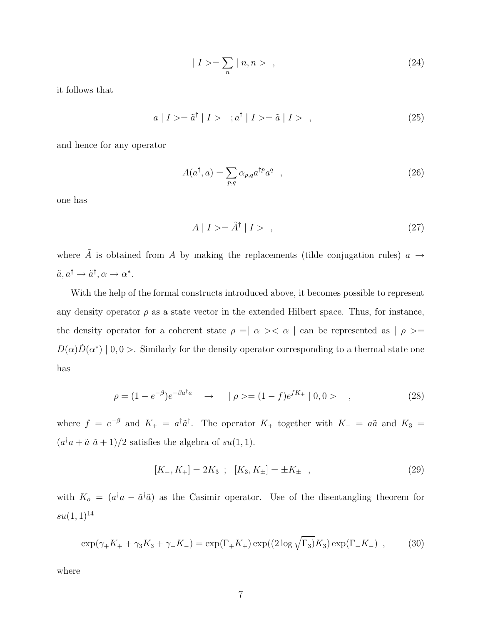$$
| I \rangle = \sum_{n} | n, n \rangle , \qquad (24)
$$

it follows that

$$
a | I \rangle = \tilde{a}^{\dagger} | I \rangle \quad ; a^{\dagger} | I \rangle = \tilde{a} | I \rangle \quad , \tag{25}
$$

and hence for any operator

$$
A(a^{\dagger}, a) = \sum_{p,q} \alpha_{p,q} a^{\dagger p} a^q \quad , \tag{26}
$$

one has

$$
A \mid I \rangle = \tilde{A}^{\dagger} \mid I \rangle \quad , \tag{27}
$$

where  $\tilde{A}$  is obtained from A by making the replacements (tilde conjugation rules)  $a \rightarrow$  $\tilde{a}, a^{\dagger} \rightarrow \tilde{a}^{\dagger}, \alpha \rightarrow \alpha^*$ .

With the help of the formal constructs introduced above, it becomes possible to represent any density operator  $\rho$  as a state vector in the extended Hilbert space. Thus, for instance, the density operator for a coherent state  $\rho$  =<br>|  $\alpha$  ><  $\alpha$  | can be represented as |  $\rho$  >=  $D(\alpha)\tilde{D}(\alpha^*)$  | 0, 0 >. Similarly for the density operator corresponding to a thermal state one has

$$
\rho = (1 - e^{-\beta})e^{-\beta a^{\dagger} a} \quad \to \quad |\rho \rangle = (1 - f)e^{fK_+} |0, 0 \rangle \quad , \tag{28}
$$

where  $f = e^{-\beta}$  and  $K_{+} = a^{\dagger} \tilde{a}^{\dagger}$ . The operator  $K_{+}$  together with  $K_{-} = a\tilde{a}$  and  $K_{3} =$  $(a^{\dagger}a + \tilde{a}^{\dagger}\tilde{a} + 1)/2$  satisfies the algebra of  $su(1,1)$ .

$$
[K_-, K_+] = 2K_3 \ ; \ [K_3, K_\pm] = \pm K_\pm \ , \tag{29}
$$

with  $K_o = (a^{\dagger}a - \tilde{a}^{\dagger}\tilde{a})$  as the Casimir operator. Use of the disentangling theorem for  $su(1, 1)^{14}$ 

$$
\exp(\gamma_{+}K_{+} + \gamma_{3}K_{3} + \gamma_{-}K_{-}) = \exp(\Gamma_{+}K_{+})\exp((2\log\sqrt{\Gamma_{3}})K_{3})\exp(\Gamma_{-}K_{-}) , \qquad (30)
$$

where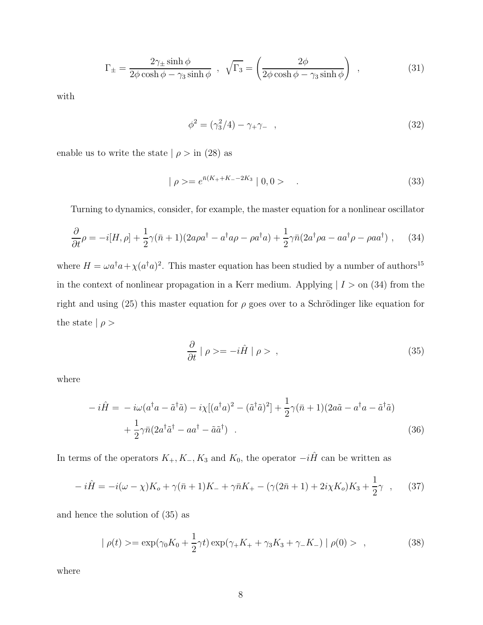$$
\Gamma_{\pm} = \frac{2\gamma_{\pm}\sinh\phi}{2\phi\cosh\phi - \gamma_3\sinh\phi} \ , \ \sqrt{\Gamma_3} = \left(\frac{2\phi}{2\phi\cosh\phi - \gamma_3\sinh\phi}\right) \ , \tag{31}
$$

with

$$
\phi^2 = (\gamma_3^2/4) - \gamma_+ \gamma_- \quad , \tag{32}
$$

enable us to write the state  $| \rho > \text{in} (28)$  as

$$
|\rho\rangle = e^{\bar{n}(K_{+}+K_{-}-2K_{3}}|0,0\rangle \qquad .
$$
\n(33)

Turning to dynamics, consider, for example, the master equation for a nonlinear oscillator

$$
\frac{\partial}{\partial t}\rho = -i[H,\rho] + \frac{1}{2}\gamma(\bar{n}+1)(2a\rho a^{\dagger} - a^{\dagger}a\rho - \rho a^{\dagger}a) + \frac{1}{2}\gamma\bar{n}(2a^{\dagger}\rho a - aa^{\dagger}\rho - \rho aa^{\dagger}), \quad (34)
$$

where  $H = \omega a^{\dagger} a + \chi (a^{\dagger} a)^2$ . This master equation has been studied by a number of authors<sup>15</sup> in the context of nonlinear propagation in a Kerr medium. Applying  $| I \rangle$  on (34) from the right and using (25) this master equation for  $\rho$  goes over to a Schrödinger like equation for the state  $| \rho >$ 

$$
\frac{\partial}{\partial t} \mid \rho \rangle = -i\hat{H} \mid \rho \rangle \quad , \tag{35}
$$

where

$$
-i\hat{H} = -i\omega(a^{\dagger}a - \tilde{a}^{\dagger}\tilde{a}) - i\chi[(a^{\dagger}a)^{2} - (\tilde{a}^{\dagger}\tilde{a})^{2}] + \frac{1}{2}\gamma(\bar{n}+1)(2a\tilde{a} - a^{\dagger}a - \tilde{a}^{\dagger}\tilde{a})
$$

$$
+ \frac{1}{2}\gamma\bar{n}(2a^{\dagger}\tilde{a}^{\dagger} - aa^{\dagger} - \tilde{a}\tilde{a}^{\dagger}). \tag{36}
$$

In terms of the operators  $K_+, K_-, K_3$  and  $K_0$ , the operator  $-i\hat{H}$  can be written as

$$
-i\hat{H} = -i(\omega - \chi)K_o + \gamma(\bar{n} + 1)K_- + \gamma\bar{n}K_+ - (\gamma(2\bar{n} + 1) + 2i\chi K_o)K_3 + \frac{1}{2}\gamma \quad , \tag{37}
$$

and hence the solution of (35) as

$$
|\rho(t)\rangle = \exp(\gamma_0 K_0 + \frac{1}{2}\gamma t) \exp(\gamma_+ K_+ + \gamma_3 K_3 + \gamma_- K_-) |\rho(0)\rangle , \qquad (38)
$$

where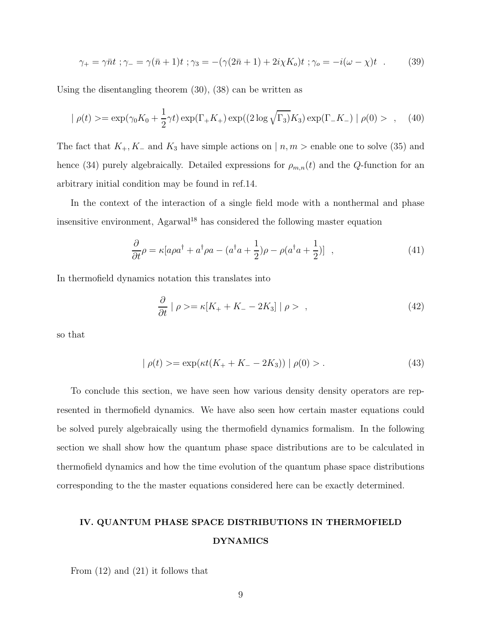$$
\gamma_{+} = \gamma \bar{n}t \; ; \; \gamma_{-} = \gamma(\bar{n} + 1)t \; ; \; \gamma_{3} = -(\gamma(2\bar{n} + 1) + 2i\chi K_{o})t \; ; \; \gamma_{o} = -i(\omega - \chi)t \; . \tag{39}
$$

Using the disentangling theorem (30), (38) can be written as

$$
|\rho(t) \rangle = \exp(\gamma_0 K_0 + \frac{1}{2}\gamma t) \exp(\Gamma_+ K_+) \exp((2 \log \sqrt{\Gamma_3}) K_3) \exp(\Gamma_- K_-) |\rho(0) \rangle , \quad (40)
$$

The fact that  $K_+, K_-$  and  $K_3$  have simple actions on  $| n, m \rangle$  enable one to solve (35) and hence (34) purely algebraically. Detailed expressions for  $\rho_{m,n}(t)$  and the Q-function for an arbitrary initial condition may be found in ref.14.

In the context of the interaction of a single field mode with a nonthermal and phase insensitive environment, Agarwal<sup>18</sup> has considered the following master equation

$$
\frac{\partial}{\partial t}\rho = \kappa [a\rho a^{\dagger} + a^{\dagger}\rho a - (a^{\dagger} a + \frac{1}{2})\rho - \rho (a^{\dagger} a + \frac{1}{2})], \qquad (41)
$$

In thermofield dynamics notation this translates into

$$
\frac{\partial}{\partial t} \mid \rho \rangle = \kappa [K_+ + K_- - 2K_3] \mid \rho \rangle \quad , \tag{42}
$$

so that

$$
|\rho(t)\rangle = \exp(\kappa t(K_{+} + K_{-} - 2K_{3})) |\rho(0)\rangle. \tag{43}
$$

To conclude this section, we have seen how various density density operators are represented in thermofield dynamics. We have also seen how certain master equations could be solved purely algebraically using the thermofield dynamics formalism. In the following section we shall show how the quantum phase space distributions are to be calculated in thermofield dynamics and how the time evolution of the quantum phase space distributions corresponding to the the master equations considered here can be exactly determined.

# IV. QUANTUM PHASE SPACE DISTRIBUTIONS IN THERMOFIELD DYNAMICS

From (12) and (21) it follows that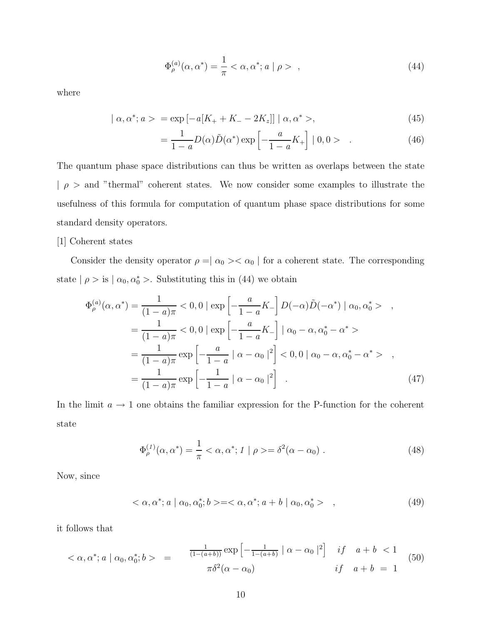$$
\Phi_{\rho}^{(a)}(\alpha, \alpha^*) = \frac{1}{\pi} < \alpha, \alpha^*; a \mid \rho > , \tag{44}
$$

where

$$
|\alpha, \alpha^*; a \rangle = \exp[-a[K_+ + K_- - 2K_z]] | \alpha, \alpha^* \rangle, \tag{45}
$$

$$
=\frac{1}{1-a}D(\alpha)\tilde{D}(\alpha^*)\exp\left[-\frac{a}{1-a}K_+\right]|0,0> \qquad (46)
$$

The quantum phase space distributions can thus be written as overlaps between the state  $| \rho >$  and "thermal" coherent states. We now consider some examples to illustrate the usefulness of this formula for computation of quantum phase space distributions for some standard density operators.

### [1] Coherent states

Consider the density operator  $\rho = \mid \alpha_0 > < \alpha_0 \mid$  for a coherent state. The corresponding state  $| \rho >$  is  $| \alpha_0, \alpha_0^* >$ . Substituting this in (44) we obtain

$$
\Phi_{\rho}^{(a)}(\alpha, \alpha^{*}) = \frac{1}{(1-a)\pi} < 0, 0 \mid \exp\left[-\frac{a}{1-a}K_{-}\right]D(-\alpha)\tilde{D}(-\alpha^{*}) \mid \alpha_{0}, \alpha_{0}^{*} > ,
$$
  
\n
$$
= \frac{1}{(1-a)\pi} < 0, 0 \mid \exp\left[-\frac{a}{1-a}K_{-}\right] \mid \alpha_{0} - \alpha, \alpha_{0}^{*} - \alpha^{*} >
$$
  
\n
$$
= \frac{1}{(1-a)\pi} \exp\left[-\frac{a}{1-a} \mid \alpha - \alpha_{0} \mid^{2}\right] < 0, 0 \mid \alpha_{0} - \alpha, \alpha_{0}^{*} - \alpha^{*} > ,
$$
  
\n
$$
= \frac{1}{(1-a)\pi} \exp\left[-\frac{1}{1-a} \mid \alpha - \alpha_{0} \mid^{2}\right].
$$
 (47)

In the limit  $a \to 1$  one obtains the familiar expression for the P-function for the coherent state

$$
\Phi_{\rho}^{(1)}(\alpha, \alpha^*) = \frac{1}{\pi} < \alpha, \alpha^*; 1 \mid \rho > = \delta^2(\alpha - \alpha_0) . \tag{48}
$$

Now, since

$$
\langle \alpha, \alpha^*; a \mid \alpha_0, \alpha_0^*; b \rangle = \langle \alpha, \alpha^*; a+b \mid \alpha_0, \alpha_0^* \rangle \quad , \tag{49}
$$

it follows that

$$
\langle \alpha, \alpha^*; a \mid \alpha_0, \alpha_0^*; b \rangle = \frac{\frac{1}{(1 - (a+b))} \exp \left[ -\frac{1}{1 - (a+b)} \mid \alpha - \alpha_0 \mid^2 \right] \quad \text{if} \quad a+b \le 1}{\pi \delta^2 (\alpha - \alpha_0)} \qquad \text{if} \quad a+b = 1 \tag{50}
$$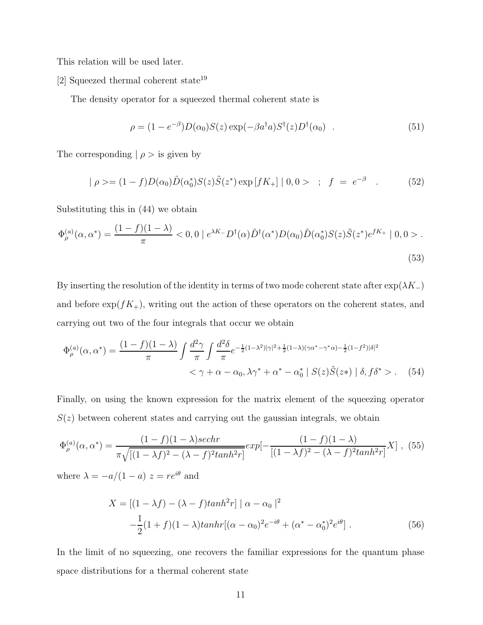This relation will be used later.

[2] Squeezed thermal coherent state<sup>19</sup>

The density operator for a squeezed thermal coherent state is

$$
\rho = (1 - e^{-\beta})D(\alpha_0)S(z) \exp(-\beta a^{\dagger} a)S^{\dagger}(z)D^{\dagger}(\alpha_0) . \qquad (51)
$$

The corresponding  $|\rho >$  is given by

$$
| \rho \rangle = (1 - f)D(\alpha_0)\tilde{D}(\alpha_0^*)S(z)\tilde{S}(z^*) \exp[fK_+] | 0, 0 > ; f = e^{-\beta} . \tag{52}
$$

Substituting this in (44) we obtain

$$
\Phi_{\rho}^{(a)}(\alpha, \alpha^*) = \frac{(1-f)(1-\lambda)}{\pi} < 0, 0 \mid e^{\lambda K^-} D^{\dagger}(\alpha) \tilde{D}^{\dagger}(\alpha^*) D(\alpha_0) \tilde{D}(\alpha_0^*) S(z) \tilde{S}(z^*) e^{fK_+} \mid 0, 0 > . \tag{53}
$$

By inserting the resolution of the identity in terms of two mode coherent state after  $\exp(\lambda K_+)$ and before  $\exp(fK_+)$ , writing out the action of these operators on the coherent states, and carrying out two of the four integrals that occur we obtain

$$
\Phi_{\rho}^{(a)}(\alpha, \alpha^*) = \frac{(1-f)(1-\lambda)}{\pi} \int \frac{d^2 \gamma}{\pi} \int \frac{d^2 \delta}{\pi} e^{-\frac{1}{2}(1-\lambda^2)|\gamma|^2 + \frac{1}{2}(1-\lambda)(\gamma \alpha^* - \gamma^* \alpha) - \frac{1}{2}(1-f^2)|\delta|^2} \n< \gamma + \alpha - \alpha_0, \lambda \gamma^* + \alpha^* - \alpha_0^* \mid S(z)\tilde{S}(z*) \mid \delta, f\delta^* > . \tag{54}
$$

Finally, on using the known expression for the matrix element of the squeezing operator  $S(z)$  between coherent states and carrying out the gaussian integrals, we obtain

$$
\Phi_{\rho}^{(a)}(\alpha, \alpha^*) = \frac{(1-f)(1-\lambda)sechr}{\pi\sqrt{[(1-\lambda f)^2 - (\lambda - f)^2 \tanh^2 r]}} exp[-\frac{(1-f)(1-\lambda)}{[(1-\lambda f)^2 - (\lambda - f)^2 \tanh^2 r]} X],
$$
(55)

where  $\lambda = -a/(1-a) z = re^{i\theta}$  and

$$
X = [(1 - \lambda f) - (\lambda - f) \tanh^{2} r] \mid \alpha - \alpha_{0} \mid^{2}
$$
  
 
$$
-\frac{1}{2} (1 + f) (1 - \lambda) \tanh r [(\alpha - \alpha_{0})^{2} e^{-i\theta} + (\alpha^{*} - \alpha_{0}^{*})^{2} e^{i\theta}].
$$
 (56)

In the limit of no squeezing, one recovers the familiar expressions for the quantum phase space distributions for a thermal coherent state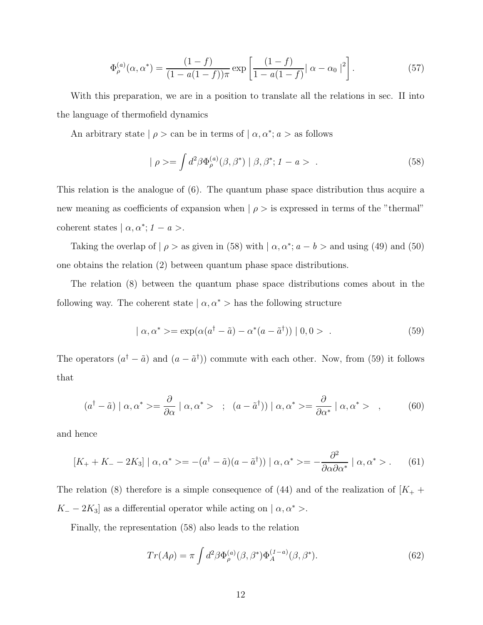$$
\Phi_{\rho}^{(a)}(\alpha, \alpha^*) = \frac{(1-f)}{(1-a(1-f))\pi} \exp\left[\frac{(1-f)}{1-a(1-f)}|\alpha - \alpha_0|^2\right].
$$
\n(57)

With this preparation, we are in a position to translate all the relations in sec. II into the language of thermofield dynamics

An arbitrary state  $| \rho >$  can be in terms of  $| \alpha, \alpha^*$ ;  $a >$  as follows

$$
|\rho\rangle = \int d^2\beta \Phi_{\rho}^{(a)}(\beta, \beta^*) |\beta, \beta^*; 1 - a\rangle . \tag{58}
$$

This relation is the analogue of (6). The quantum phase space distribution thus acquire a new meaning as coefficients of expansion when  $| \rho >$  is expressed in terms of the "thermal" coherent states  $\mid \alpha, \alpha^*$ ;  $1 - a >$ .

Taking the overlap of  $| \rho >$  as given in (58) with  $| \alpha, \alpha^*; a - b >$  and using (49) and (50) one obtains the relation (2) between quantum phase space distributions.

The relation (8) between the quantum phase space distributions comes about in the following way. The coherent state  $\alpha, \alpha^*$  > has the following structure

$$
| \alpha, \alpha^* \rangle = \exp(\alpha(a^\dagger - \tilde{a}) - \alpha^*(a - \tilde{a}^\dagger)) | 0, 0 \rangle . \tag{59}
$$

The operators  $(a^{\dagger} - \tilde{a})$  and  $(a - \tilde{a}^{\dagger})$  commute with each other. Now, from (59) it follows that

$$
(a^{\dagger} - \tilde{a}) \mid \alpha, \alpha^* \rangle = \frac{\partial}{\partial \alpha} \mid \alpha, \alpha^* \rangle \quad ; \quad (a - \tilde{a}^{\dagger}) \mid \alpha, \alpha^* \rangle = \frac{\partial}{\partial \alpha^*} \mid \alpha, \alpha^* \rangle \quad , \tag{60}
$$

and hence

$$
[K_{+} + K_{-} - 2K_{3}] \mid \alpha, \alpha^{*} \rangle = - (a^{\dagger} - \tilde{a})(a - \tilde{a}^{\dagger})) \mid \alpha, \alpha^{*} \rangle = -\frac{\partial^{2}}{\partial \alpha \partial \alpha^{*}} \mid \alpha, \alpha^{*} \rangle. \tag{61}
$$

The relation (8) therefore is a simple consequence of (44) and of the realization of  $K_{+}$  +  $K_ - - 2K_3$  as a differential operator while acting on  $| \alpha, \alpha^* >$ .

Finally, the representation (58) also leads to the relation

$$
Tr(A\rho) = \pi \int d^2\beta \Phi_{\rho}^{(a)}(\beta, \beta^*) \Phi_A^{(1-a)}(\beta, \beta^*).
$$
 (62)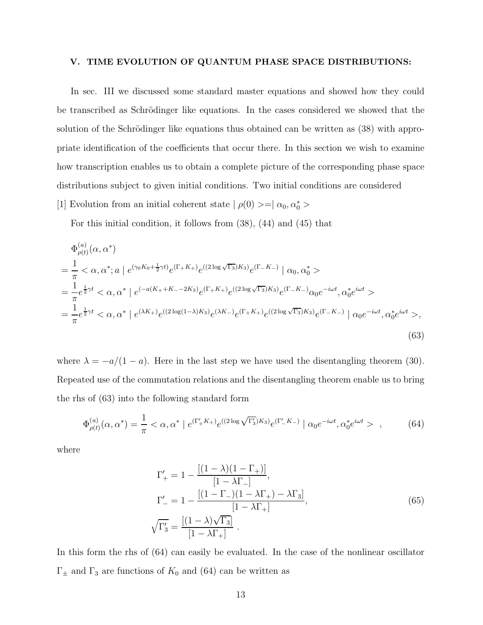### V. TIME EVOLUTION OF QUANTUM PHASE SPACE DISTRIBUTIONS:

In sec. III we discussed some standard master equations and showed how they could be transcribed as Schrödinger like equations. In the cases considered we showed that the solution of the Schrödinger like equations thus obtained can be written as  $(38)$  with appropriate identification of the coefficients that occur there. In this section we wish to examine how transcription enables us to obtain a complete picture of the corresponding phase space distributions subject to given initial conditions. Two initial conditions are considered [1] Evolution from an initial coherent state  $| \rho(0) \rangle = | \alpha_0, \alpha_0^* \rangle$ 

For this initial condition, it follows from (38), (44) and (45) that

$$
\Phi_{\rho(t)}^{(a)}(\alpha, \alpha^*)
$$
\n
$$
= \frac{1}{\pi} \langle \alpha, \alpha^*; a \mid e^{(\gamma_0 K_0 + \frac{1}{2}\gamma t)} e^{(\Gamma_+ K_+)} e^{((2 \log \sqrt{\Gamma_3})K_3)} e^{(\Gamma_- K_-)} \mid \alpha_0, \alpha_0^* \rangle
$$
\n
$$
= \frac{1}{\pi} e^{\frac{1}{2}\gamma t} \langle \alpha, \alpha^* \mid e^{(-a(K_+ + K_- - 2K_3)} e^{(\Gamma_+ K_+)} e^{((2 \log \sqrt{\Gamma_3})K_3)} e^{(\Gamma_- K_-)} \alpha_0 e^{-i\omega t}, \alpha_0^* e^{i\omega t} \rangle
$$
\n
$$
= \frac{1}{\pi} e^{\frac{1}{2}\gamma t} \langle \alpha, \alpha^* \mid e^{(\lambda K_+)} e^{((2 \log(1-\lambda)K_3)} e^{(\lambda K_-)} e^{(\Gamma_+ K_+)} e^{((2 \log \sqrt{\Gamma_3})K_3)} e^{(\Gamma_- K_-)} \mid \alpha_0 e^{-i\omega t}, \alpha_0^* e^{i\omega t} \rangle,
$$
\n(63)

where  $\lambda = -a/(1 - a)$ . Here in the last step we have used the disentangling theorem (30). Repeated use of the commutation relations and the disentangling theorem enable us to bring the rhs of (63) into the following standard form

$$
\Phi_{\rho(t)}^{(a)}(\alpha, \alpha^*) = \frac{1}{\pi} < \alpha, \alpha^* \mid e^{(\Gamma_+' K_+)} e^{((2 \log \sqrt{\Gamma_3'}) K_3)} e^{(\Gamma_-' K_-)} \mid \alpha_0 e^{-i\omega t}, \alpha_0^* e^{i\omega t} > , \tag{64}
$$

where

$$
\Gamma'_{+} = 1 - \frac{[(1 - \lambda)(1 - \Gamma_{+})]}{[1 - \lambda \Gamma_{-}]},
$$
\n
$$
\Gamma'_{-} = 1 - \frac{[(1 - \Gamma_{-})(1 - \lambda \Gamma_{+}) - \lambda \Gamma_{3}]}{[1 - \lambda \Gamma_{+}]},
$$
\n
$$
\sqrt{\Gamma'_{3}} = \frac{[(1 - \lambda)\sqrt{\Gamma_{3}}]}{[1 - \lambda \Gamma_{+}]}. \tag{65}
$$

In this form the rhs of (64) can easily be evaluated. In the case of the nonlinear oscillator  $\Gamma_{\pm}$  and  $\Gamma_{3}$  are functions of  $K_{0}$  and (64) can be written as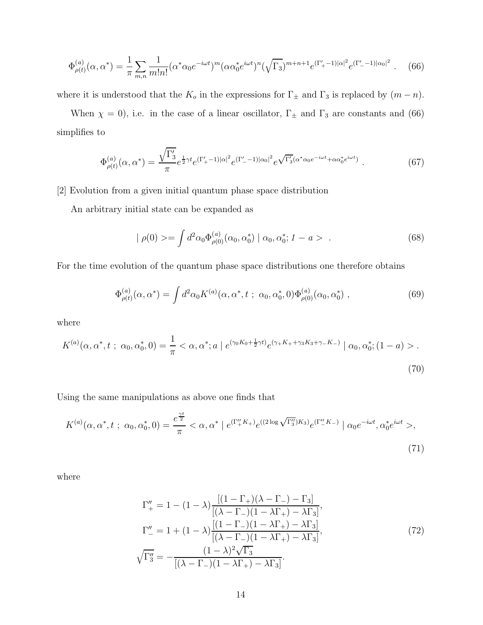$$
\Phi_{\rho(t)}^{(a)}(\alpha, \alpha^*) = \frac{1}{\pi} \sum_{m,n} \frac{1}{m!n!} (\alpha^* \alpha_0 e^{-i\omega t})^m (\alpha \alpha_0^* e^{i\omega t})^n (\sqrt{\Gamma_3})^{m+n+1} e^{(\Gamma_+'-1)|\alpha|^2} e^{(\Gamma_-'-1)|\alpha_0|^2} . \tag{66}
$$

where it is understood that the  $K_o$  in the expressions for  $\Gamma_{\pm}$  and  $\Gamma_3$  is replaced by  $(m - n)$ .

When  $\chi = 0$ ), i.e. in the case of a linear oscillator,  $\Gamma_{\pm}$  and  $\Gamma_{3}$  are constants and (66) simplifies to

$$
\Phi_{\rho(t)}^{(a)}(\alpha, \alpha^*) = \frac{\sqrt{\Gamma_3'}}{\pi} e^{\frac{1}{2}\gamma t} e^{(\Gamma_+'-1)|\alpha|^2} e^{(\Gamma_-'-1)|\alpha_0|^2} e^{\sqrt{\Gamma_3'}(\alpha^* \alpha_0 e^{-i\omega t} + \alpha \alpha_0^* e^{i\omega t})}.
$$
\n(67)

[2] Evolution from a given initial quantum phase space distribution

An arbitrary initial state can be expanded as

$$
|\rho(0)\rangle = \int d^2\alpha_0 \Phi_{\rho(0)}^{(a)}(\alpha_0, \alpha_0^*) | \alpha_0, \alpha_0^*; 1 - a \rangle .
$$
 (68)

For the time evolution of the quantum phase space distributions one therefore obtains

$$
\Phi_{\rho(t)}^{(a)}(\alpha, \alpha^*) = \int d^2 \alpha_0 K^{(a)}(\alpha, \alpha^*, t \ ; \ \alpha_0, \alpha_0^*, 0) \Phi_{\rho(0)}^{(a)}(\alpha_0, \alpha_0^*) \ , \tag{69}
$$

where

$$
K^{(a)}(\alpha, \alpha^*, t \; ; \; \alpha_0, \alpha_0^*, 0) = \frac{1}{\pi} < \alpha, \alpha^*; a \mid e^{(\gamma_0 K_0 + \frac{1}{2}\gamma t)} e^{(\gamma_+ K_+ + \gamma_3 K_3 + \gamma_- K_-)} \mid \alpha_0, \alpha_0^*; (1 - a) > . \tag{70}
$$

Using the same manipulations as above one finds that

$$
K^{(a)}(\alpha, \alpha^*, t \; ; \; \alpha_0, \alpha_0^*, 0) = \frac{e^{\frac{\gamma t}{2}}}{\pi} < \alpha, \alpha^* \mid e^{(\Gamma_+^{\prime\prime} K_+)} e^{((2 \log \sqrt{\Gamma_3^{\prime\prime}}) K_3)} e^{(\Gamma_-^{\prime\prime} K_-)} \mid \alpha_0 e^{-i\omega t}, \alpha_0^* e^{i\omega t} >,\tag{71}
$$

where

$$
\Gamma''_{+} = 1 - (1 - \lambda) \frac{[(1 - \Gamma_{+})(\lambda - \Gamma_{-}) - \Gamma_{3}]}{[(\lambda - \Gamma_{-})(1 - \lambda\Gamma_{+}) - \lambda\Gamma_{3}]},
$$
  
\n
$$
\Gamma''_{-} = 1 + (1 - \lambda) \frac{[(1 - \Gamma_{-})(1 - \lambda\Gamma_{+}) - \lambda\Gamma_{3}]}{[(\lambda - \Gamma_{-})(1 - \lambda\Gamma_{+}) - \lambda\Gamma_{3}]},
$$
  
\n
$$
\sqrt{\Gamma''_{3}} = -\frac{(1 - \lambda)^{2}\sqrt{\Gamma_{3}}}{[(\lambda - \Gamma_{-})(1 - \lambda\Gamma_{+}) - \lambda\Gamma_{3}]}.
$$
\n(72)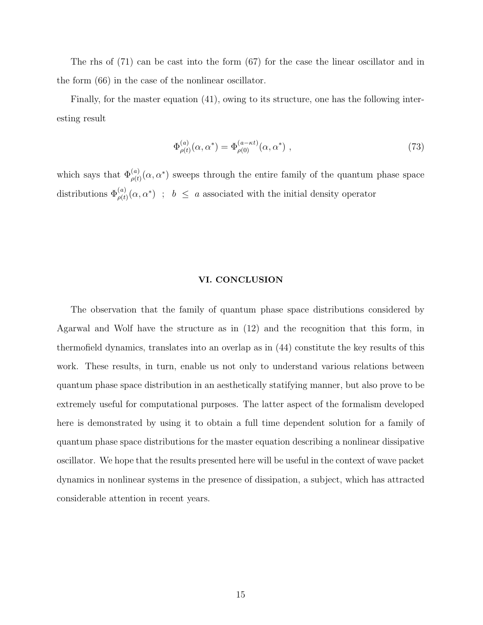The rhs of (71) can be cast into the form (67) for the case the linear oscillator and in the form (66) in the case of the nonlinear oscillator.

Finally, for the master equation (41), owing to its structure, one has the following interesting result

$$
\Phi_{\rho(t)}^{(a)}(\alpha, \alpha^*) = \Phi_{\rho(0)}^{(a-\kappa t)}(\alpha, \alpha^*) ,
$$
\n(73)

which says that  $\Phi_{\rho(t)}^{(a)}(\alpha, \alpha^*)$  sweeps through the entire family of the quantum phase space distributions  $\Phi_{\rho(t)}^{(a)}(\alpha, \alpha^*)$ ;  $b \leq a$  associated with the initial density operator

### VI. CONCLUSION

The observation that the family of quantum phase space distributions considered by Agarwal and Wolf have the structure as in (12) and the recognition that this form, in thermofield dynamics, translates into an overlap as in (44) constitute the key results of this work. These results, in turn, enable us not only to understand various relations between quantum phase space distribution in an aesthetically statifying manner, but also prove to be extremely useful for computational purposes. The latter aspect of the formalism developed here is demonstrated by using it to obtain a full time dependent solution for a family of quantum phase space distributions for the master equation describing a nonlinear dissipative oscillator. We hope that the results presented here will be useful in the context of wave packet dynamics in nonlinear systems in the presence of dissipation, a subject, which has attracted considerable attention in recent years.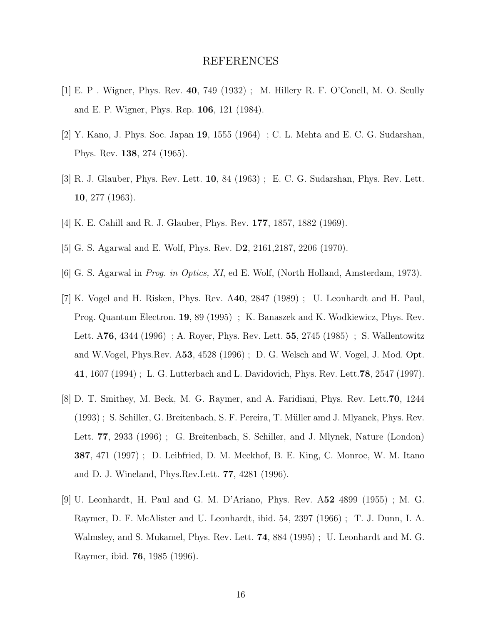## REFERENCES

- [1] E. P . Wigner, Phys. Rev. 40, 749 (1932) ; M. Hillery R. F. O'Conell, M. O. Scully and E. P. Wigner, Phys. Rep. 106, 121 (1984).
- [2] Y. Kano, J. Phys. Soc. Japan 19, 1555 (1964) ; C. L. Mehta and E. C. G. Sudarshan, Phys. Rev. 138, 274 (1965).
- [3] R. J. Glauber, Phys. Rev. Lett. 10, 84 (1963) ; E. C. G. Sudarshan, Phys. Rev. Lett. 10, 277 (1963).
- [4] K. E. Cahill and R. J. Glauber, Phys. Rev. 177, 1857, 1882 (1969).
- [5] G. S. Agarwal and E. Wolf, Phys. Rev. D2, 2161,2187, 2206 (1970).
- [6] G. S. Agarwal in Prog. in Optics, XI, ed E. Wolf, (North Holland, Amsterdam, 1973).
- [7] K. Vogel and H. Risken, Phys. Rev. A40, 2847 (1989) ; U. Leonhardt and H. Paul, Prog. Quantum Electron. 19, 89 (1995) ; K. Banaszek and K. Wodkiewicz, Phys. Rev. Lett. A76, 4344 (1996) ; A. Royer, Phys. Rev. Lett. 55, 2745 (1985) ; S. Wallentowitz and W.Vogel, Phys.Rev. A53, 4528 (1996) ; D. G. Welsch and W. Vogel, J. Mod. Opt. 41, 1607 (1994) ; L. G. Lutterbach and L. Davidovich, Phys. Rev. Lett.78, 2547 (1997).
- [8] D. T. Smithey, M. Beck, M. G. Raymer, and A. Faridiani, Phys. Rev. Lett.70, 1244 (1993) ; S. Schiller, G. Breitenbach, S. F. Pereira, T. Müller amd J. Mlyanek, Phys. Rev. Lett. 77, 2933 (1996) ; G. Breitenbach, S. Schiller, and J. Mlynek, Nature (London) 387, 471 (1997) ; D. Leibfried, D. M. Meekhof, B. E. King, C. Monroe, W. M. Itano and D. J. Wineland, Phys.Rev.Lett. 77, 4281 (1996).
- [9] U. Leonhardt, H. Paul and G. M. D'Ariano, Phys. Rev. A52 4899 (1955) ; M. G. Raymer, D. F. McAlister and U. Leonhardt, ibid. 54, 2397 (1966) ; T. J. Dunn, I. A. Walmsley, and S. Mukamel, Phys. Rev. Lett. 74, 884 (1995) ; U. Leonhardt and M. G. Raymer, ibid. 76, 1985 (1996).